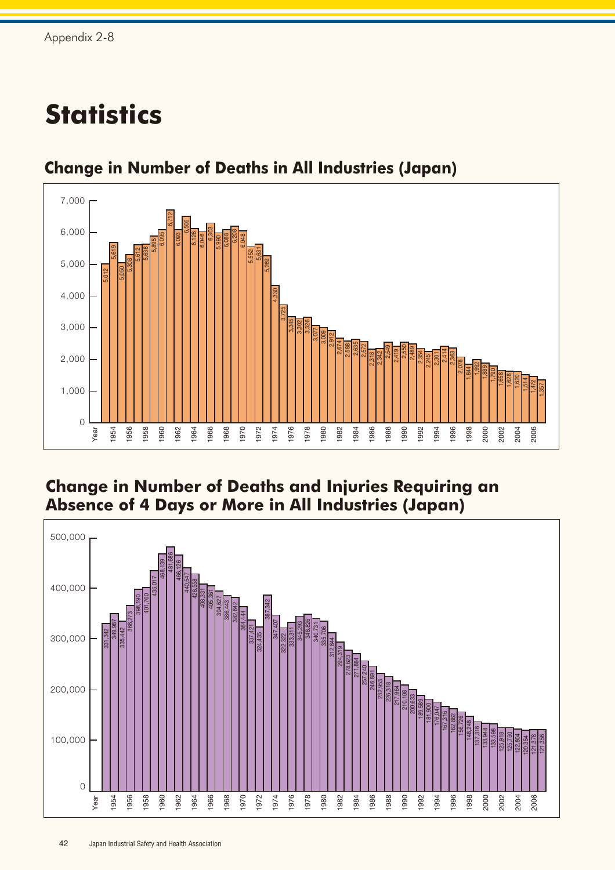## **Statistics**



## **Change in Number of Deaths in All Industries (Japan)**

## **Change in Number of Deaths and Injuries Requiring an Absence of 4 Days or More in All Industries (Japan)**